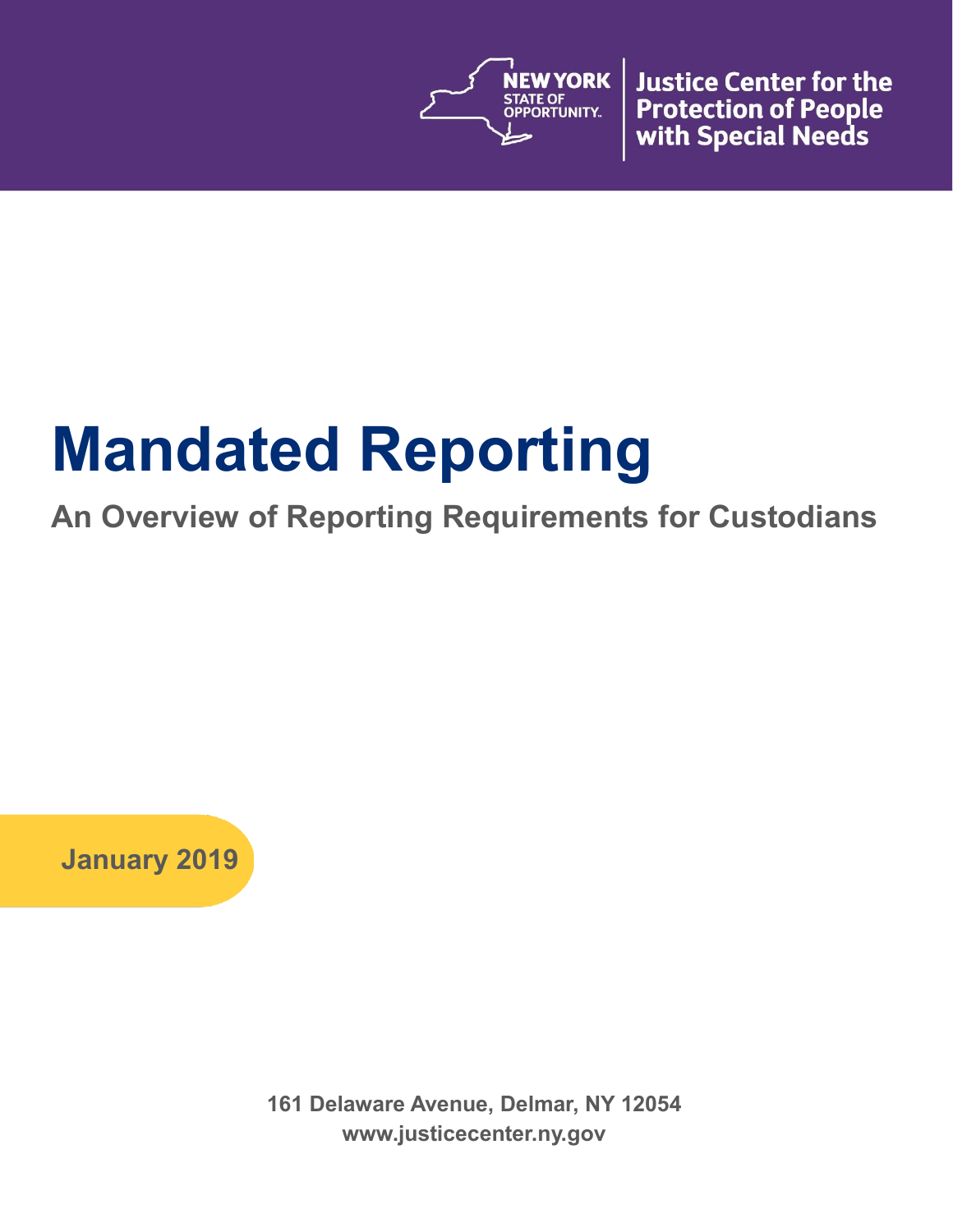

**Justice Center for the Protection of People** with Special Needs

# **Mandated Reporting**

## **An Overview of Reporting Requirements for Custodians**

**January 2019**

**161 Delaware Avenue, Delmar, NY 12054 www.justicecenter.ny.gov**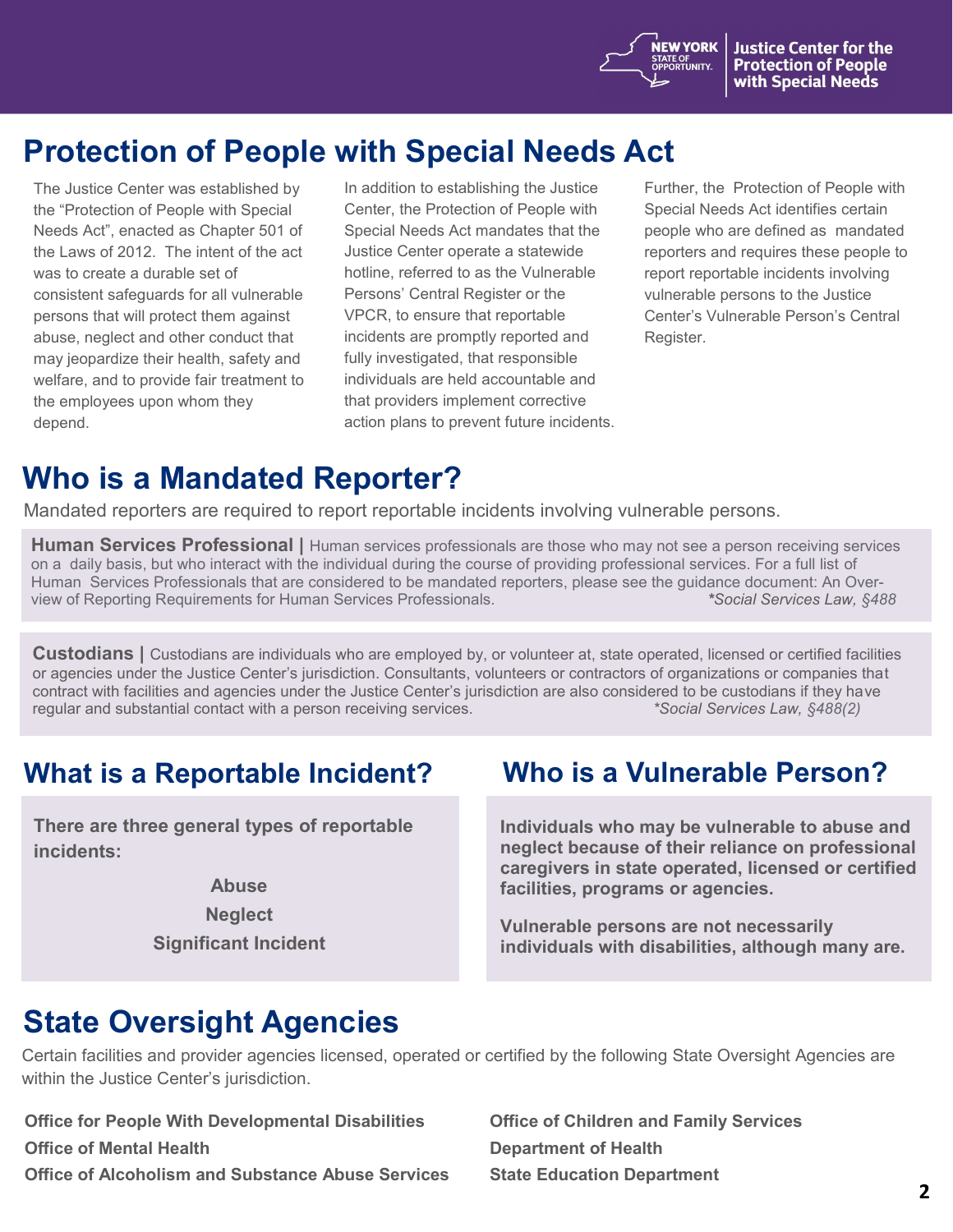**NEW YORK** 

STATE OF<br>OPPORTUNITY.

## **Protection of People with Special Needs Act**

The Justice Center was established by the "Protection of People with Special Needs Act", enacted as Chapter 501 of the Laws of 2012. The intent of the act was to create a durable set of consistent safeguards for all vulnerable persons that will protect them against abuse, neglect and other conduct that may jeopardize their health, safety and welfare, and to provide fair treatment to the employees upon whom they depend.

In addition to establishing the Justice Center, the Protection of People with Special Needs Act mandates that the Justice Center operate a statewide hotline, referred to as the Vulnerable Persons' Central Register or the VPCR, to ensure that reportable incidents are promptly reported and fully investigated, that responsible individuals are held accountable and that providers implement corrective action plans to prevent future incidents. Further, the Protection of People with Special Needs Act identifies certain people who are defined as mandated reporters and requires these people to report reportable incidents involving vulnerable persons to the Justice Center's Vulnerable Person's Central Register.

## **Who is a Mandated Reporter?**

Mandated reporters are required to report reportable incidents involving vulnerable persons.

**Human Services Professional |** Human services professionals are those who may not see a person receiving services on a daily basis, but who interact with the individual during the course of providing professional services. For a full list of Human Services Professionals that are considered to be mandated reporters, please see the guidance document: An Overview of Reporting Requirements for Human Services Professionals. *\*Social Services Law, §488*

**Custodians |** Custodians are individuals who are employed by, or volunteer at, state operated, licensed or certified facilities or agencies under the Justice Center's jurisdiction. Consultants, volunteers or contractors of organizations or companies that contract with facilities and agencies under the Justice Center's jurisdiction are also considered to be custodians if they have regular and substantial contact with a person receiving services. *\*Social Services Law, §488(2)*

### **What is a Reportable Incident? Who is a Vulnerable Person?**

**There are three general types of reportable incidents:**

> **Abuse Neglect Significant Incident**

**Individuals who may be vulnerable to abuse and neglect because of their reliance on professional caregivers in state operated, licensed or certified facilities, programs or agencies.**

**Vulnerable persons are not necessarily individuals with disabilities, although many are.** 

## **State Oversight Agencies**

Certain facilities and provider agencies licensed, operated or certified by the following State Oversight Agencies are within the Justice Center's jurisdiction.

**Office for People With Developmental Disabilities Office of Mental Health Office of Alcoholism and Substance Abuse Services** **Office of Children and Family Services Department of Health State Education Department**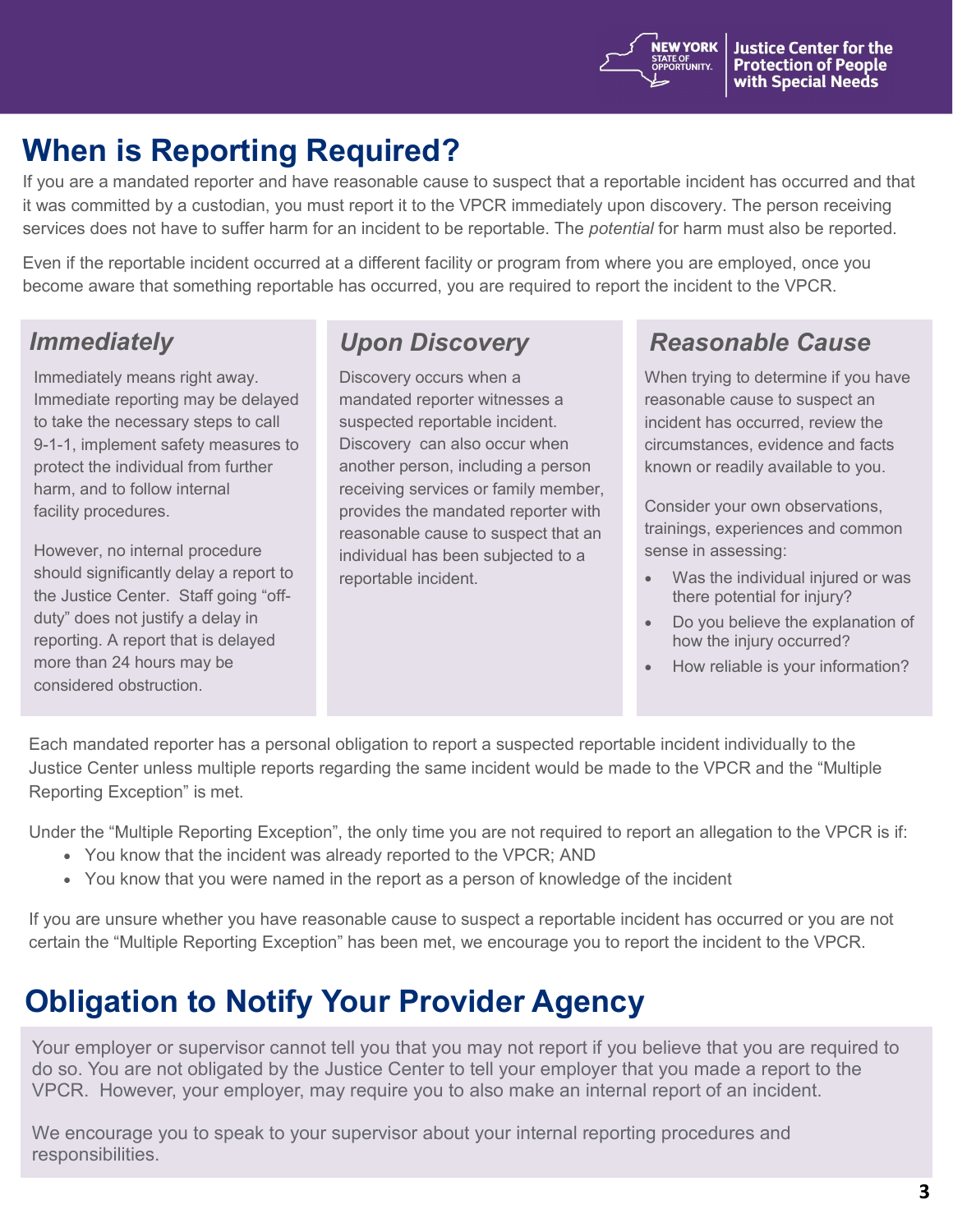## **When is Reporting Required?**

If you are a mandated reporter and have reasonable cause to suspect that a reportable incident has occurred and that it was committed by a custodian, you must report it to the VPCR immediately upon discovery. The person receiving services does not have to suffer harm for an incident to be reportable. The *potential* for harm must also be reported.

Even if the reportable incident occurred at a different facility or program from where you are employed, once you become aware that something reportable has occurred, you are required to report the incident to the VPCR.

Immediately means right away. Immediate reporting may be delayed to take the necessary steps to call 9-1-1, implement safety measures to protect the individual from further harm, and to follow internal facility procedures.

However, no internal procedure should significantly delay a report to the Justice Center. Staff going "offduty" does not justify a delay in reporting. A report that is delayed more than 24 hours may be considered obstruction.

Discovery occurs when a mandated reporter witnesses a suspected reportable incident. Discovery can also occur when another person, including a person receiving services or family member, provides the mandated reporter with reasonable cause to suspect that an individual has been subjected to a reportable incident.

### *Immediately Upon Discovery Reasonable Cause*

When trying to determine if you have reasonable cause to suspect an incident has occurred, review the circumstances, evidence and facts known or readily available to you.

Consider your own observations, trainings, experiences and common sense in assessing:

- Was the individual injured or was there potential for injury?
- Do you believe the explanation of how the injury occurred?
- How reliable is your information?

Each mandated reporter has a personal obligation to report a suspected reportable incident individually to the Justice Center unless multiple reports regarding the same incident would be made to the VPCR and the "Multiple Reporting Exception" is met.

Under the "Multiple Reporting Exception", the only time you are not required to report an allegation to the VPCR is if:

- You know that the incident was already reported to the VPCR; AND
- You know that you were named in the report as a person of knowledge of the incident

If you are unsure whether you have reasonable cause to suspect a reportable incident has occurred or you are not certain the "Multiple Reporting Exception" has been met, we encourage you to report the incident to the VPCR.

## **Obligation to Notify Your Provider Agency**

Your employer or supervisor cannot tell you that you may not report if you believe that you are required to do so. You are not obligated by the Justice Center to tell your employer that you made a report to the VPCR. However, your employer, may require you to also make an internal report of an incident.

We encourage you to speak to your supervisor about your internal reporting procedures and responsibilities.

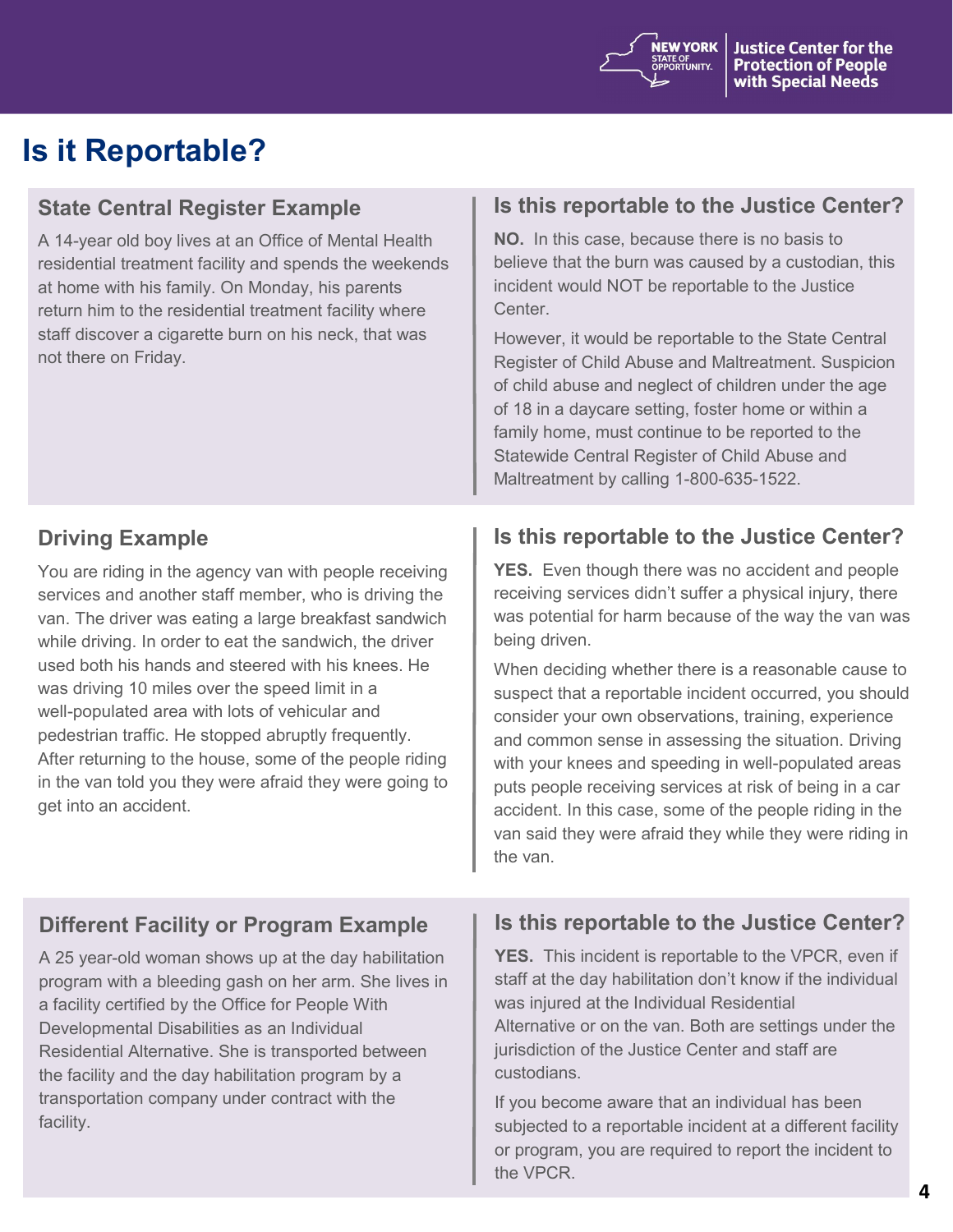

## **Is it Reportable?**

#### **State Central Register Example**

A 14-year old boy lives at an Office of Mental Health residential treatment facility and spends the weekends at home with his family. On Monday, his parents return him to the residential treatment facility where staff discover a cigarette burn on his neck, that was not there on Friday.

#### **Is this reportable to the Justice Center?**

**NO.** In this case, because there is no basis to believe that the burn was caused by a custodian, this incident would NOT be reportable to the Justice Center.

However, it would be reportable to the State Central Register of Child Abuse and Maltreatment. Suspicion of child abuse and neglect of children under the age of 18 in a daycare setting, foster home or within a family home, must continue to be reported to the Statewide Central Register of Child Abuse and Maltreatment by calling 1-800-635-1522.

#### **Driving Example**

You are riding in the agency van with people receiving services and another staff member, who is driving the van. The driver was eating a large breakfast sandwich while driving. In order to eat the sandwich, the driver used both his hands and steered with his knees. He was driving 10 miles over the speed limit in a well-populated area with lots of vehicular and pedestrian traffic. He stopped abruptly frequently. After returning to the house, some of the people riding in the van told you they were afraid they were going to get into an accident.

#### **Is this reportable to the Justice Center?**

**YES.** Even though there was no accident and people receiving services didn't suffer a physical injury, there was potential for harm because of the way the van was being driven.

When deciding whether there is a reasonable cause to suspect that a reportable incident occurred, you should consider your own observations, training, experience and common sense in assessing the situation. Driving with your knees and speeding in well-populated areas puts people receiving services at risk of being in a car accident. In this case, some of the people riding in the van said they were afraid they while they were riding in the van.

#### **Different Facility or Program Example**

A 25 year-old woman shows up at the day habilitation program with a bleeding gash on her arm. She lives in a facility certified by the Office for People With Developmental Disabilities as an Individual Residential Alternative. She is transported between the facility and the day habilitation program by a transportation company under contract with the facility.

#### **Is this reportable to the Justice Center?**

**YES.** This incident is reportable to the VPCR, even if staff at the day habilitation don't know if the individual was injured at the Individual Residential Alternative or on the van. Both are settings under the jurisdiction of the Justice Center and staff are custodians.

If you become aware that an individual has been subjected to a reportable incident at a different facility or program, you are required to report the incident to the VPCR.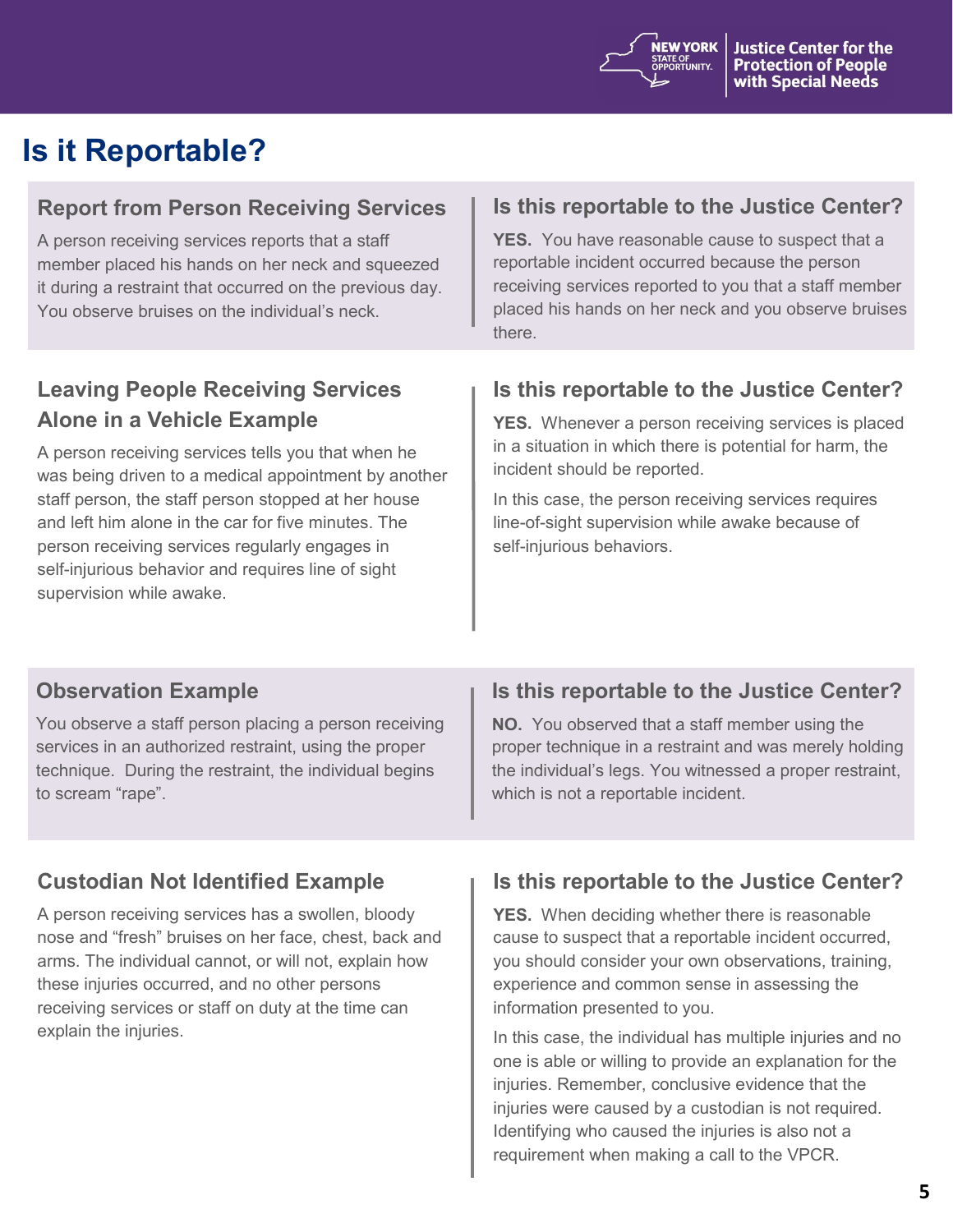

## **Is it Reportable?**

#### **Report from Person Receiving Services**

A person receiving services reports that a staff member placed his hands on her neck and squeezed it during a restraint that occurred on the previous day. You observe bruises on the individual's neck.

#### **Is this reportable to the Justice Center?**

**YES.** You have reasonable cause to suspect that a reportable incident occurred because the person receiving services reported to you that a staff member placed his hands on her neck and you observe bruises there.

### **Leaving People Receiving Services Alone in a Vehicle Example**

A person receiving services tells you that when he was being driven to a medical appointment by another staff person, the staff person stopped at her house and left him alone in the car for five minutes. The person receiving services regularly engages in self-injurious behavior and requires line of sight supervision while awake.

#### **Is this reportable to the Justice Center?**

**YES.** Whenever a person receiving services is placed in a situation in which there is potential for harm, the incident should be reported.

In this case, the person receiving services requires line-of-sight supervision while awake because of self-injurious behaviors.

#### **Observation Example**

You observe a staff person placing a person receiving services in an authorized restraint, using the proper technique. During the restraint, the individual begins to scream "rape".

#### **Custodian Not Identified Example**

A person receiving services has a swollen, bloody nose and "fresh" bruises on her face, chest, back and arms. The individual cannot, or will not, explain how these injuries occurred, and no other persons receiving services or staff on duty at the time can explain the injuries.

#### **Is this reportable to the Justice Center?**

**NO.** You observed that a staff member using the proper technique in a restraint and was merely holding the individual's legs. You witnessed a proper restraint, which is not a reportable incident.

#### **Is this reportable to the Justice Center?**

**YES.** When deciding whether there is reasonable cause to suspect that a reportable incident occurred, you should consider your own observations, training, experience and common sense in assessing the information presented to you.

In this case, the individual has multiple injuries and no one is able or willing to provide an explanation for the injuries. Remember, conclusive evidence that the injuries were caused by a custodian is not required. Identifying who caused the injuries is also not a requirement when making a call to the VPCR.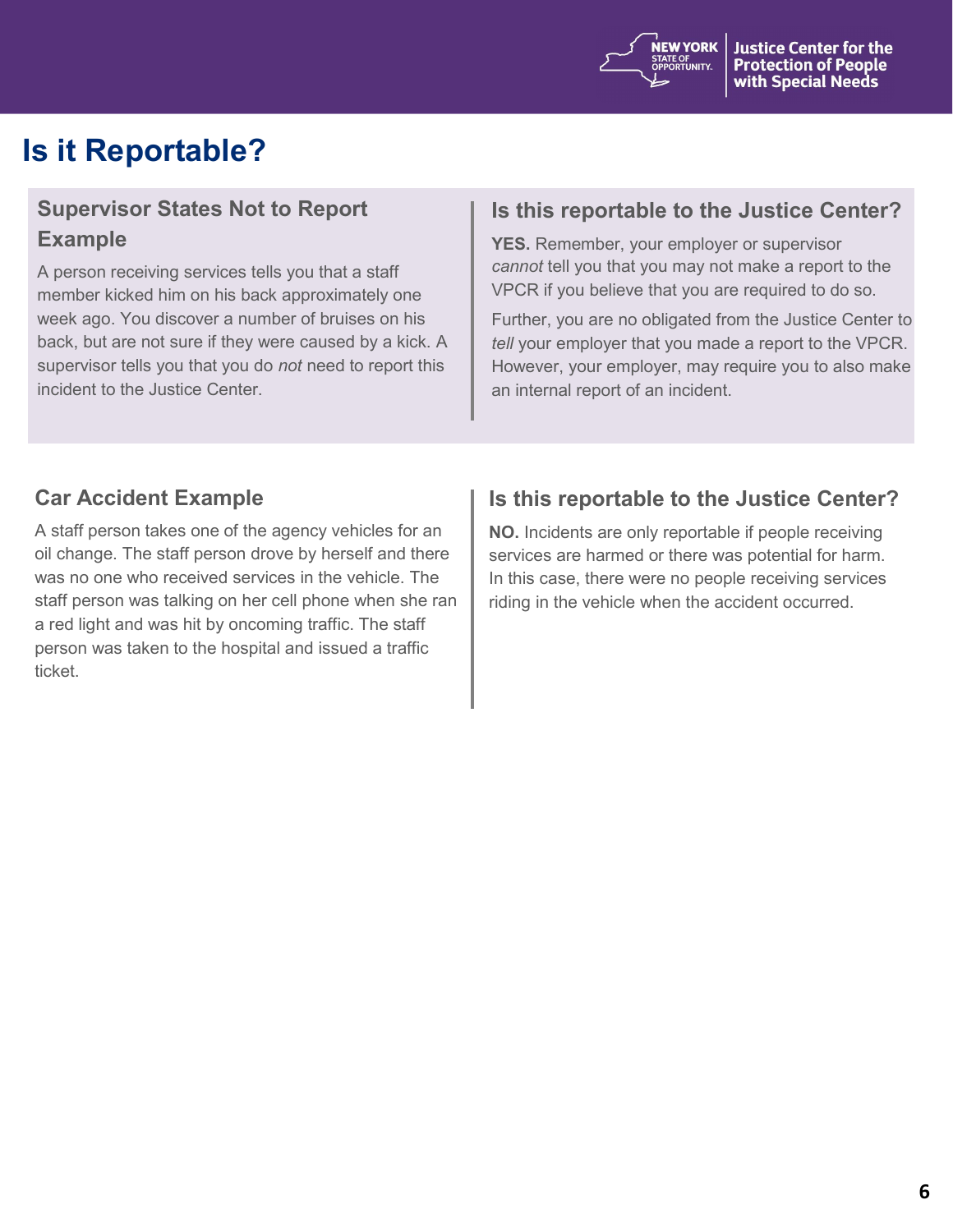

## **Is it Reportable?**

#### **Supervisor States Not to Report Example**

A person receiving services tells you that a staff member kicked him on his back approximately one week ago. You discover a number of bruises on his back, but are not sure if they were caused by a kick. A supervisor tells you that you do *not* need to report this incident to the Justice Center.

#### **Is this reportable to the Justice Center?**

**YES.** Remember, your employer or supervisor *cannot* tell you that you may not make a report to the VPCR if you believe that you are required to do so.

Further, you are no obligated from the Justice Center to *tell* your employer that you made a report to the VPCR. However, your employer, may require you to also make an internal report of an incident.

#### **Car Accident Example**

A staff person takes one of the agency vehicles for an oil change. The staff person drove by herself and there was no one who received services in the vehicle. The staff person was talking on her cell phone when she ran a red light and was hit by oncoming traffic. The staff person was taken to the hospital and issued a traffic ticket.

#### **Is this reportable to the Justice Center?**

**NO.** Incidents are only reportable if people receiving services are harmed or there was potential for harm. In this case, there were no people receiving services riding in the vehicle when the accident occurred.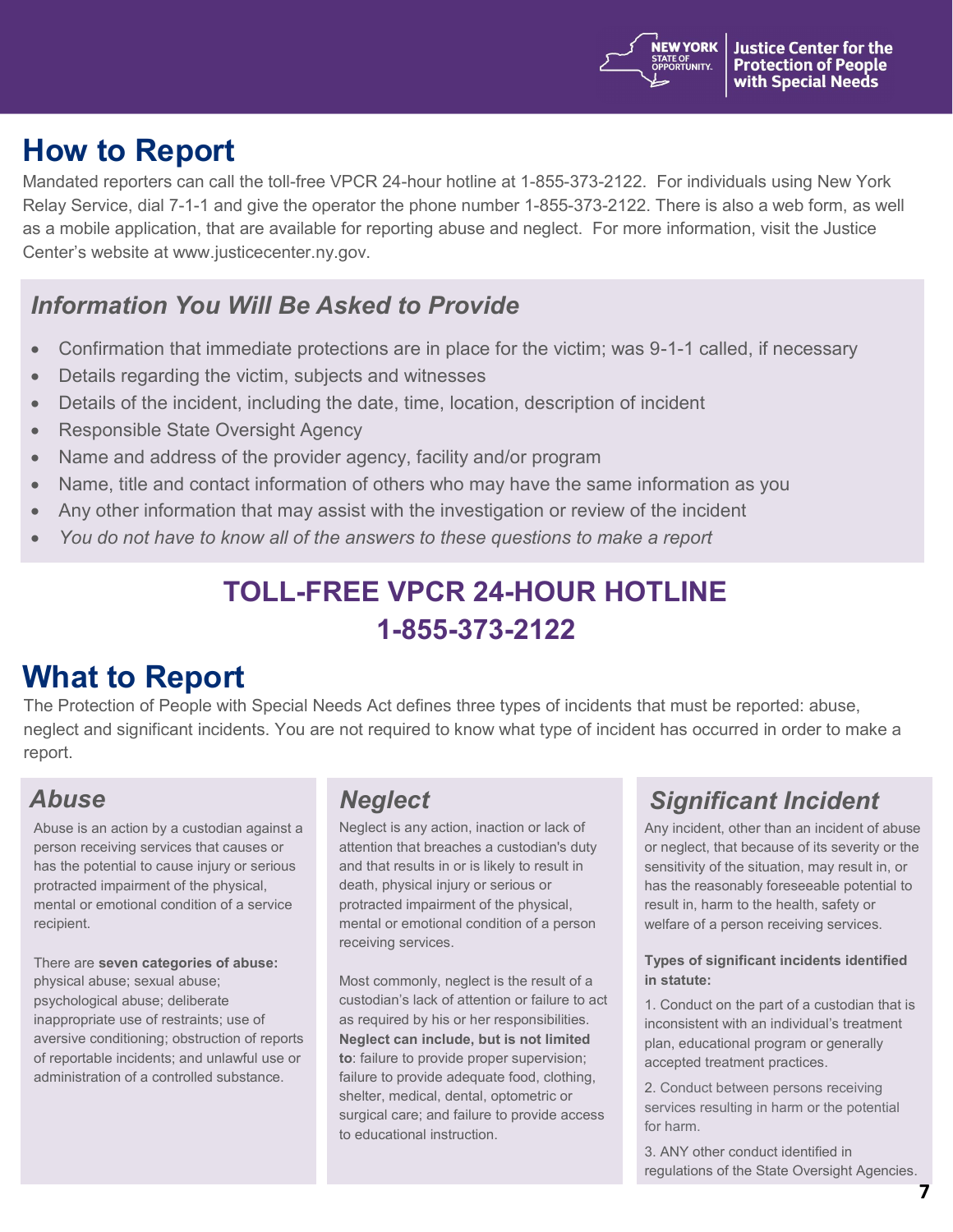

## **How to Report**

Mandated reporters can call the toll-free VPCR 24-hour hotline at 1-855-373-2122. For individuals using New York Relay Service, dial 7-1-1 and give the operator the phone number 1-855-373-2122. There is also a web form, as well as a mobile application, that are available for reporting abuse and neglect. For more information, visit the Justice Center's website at www.justicecenter.ny.gov.

### *Information You Will Be Asked to Provide*

- Confirmation that immediate protections are in place for the victim; was 9-1-1 called, if necessary
- Details regarding the victim, subjects and witnesses
- Details of the incident, including the date, time, location, description of incident
- Responsible State Oversight Agency
- Name and address of the provider agency, facility and/or program
- Name, title and contact information of others who may have the same information as you
- Any other information that may assist with the investigation or review of the incident
- *You do not have to know all of the answers to these questions to make a report*

## **TOLL-FREE VPCR 24-HOUR HOTLINE 1-855-373-2122**

## **What to Report**

The Protection of People with Special Needs Act defines three types of incidents that must be reported: abuse, neglect and significant incidents. You are not required to know what type of incident has occurred in order to make a report.

Abuse is an action by a custodian against a person receiving services that causes or has the potential to cause injury or serious protracted impairment of the physical, mental or emotional condition of a service recipient.

There are **seven categories of abuse:**  physical abuse; sexual abuse; psychological abuse; deliberate inappropriate use of restraints; use of aversive conditioning; obstruction of reports of reportable incidents; and unlawful use or administration of a controlled substance.

Neglect is any action, inaction or lack of attention that breaches a custodian's duty and that results in or is likely to result in death, physical injury or serious or protracted impairment of the physical, mental or emotional condition of a person receiving services.

Most commonly, neglect is the result of a custodian's lack of attention or failure to act as required by his or her responsibilities. **Neglect can include, but is not limited to**: failure to provide proper supervision; failure to provide adequate food, clothing, shelter, medical, dental, optometric or surgical care; and failure to provide access to educational instruction.

### *Abuse Neglect Significant Incident*

Any incident, other than an incident of abuse or neglect, that because of its severity or the sensitivity of the situation, may result in, or has the reasonably foreseeable potential to result in, harm to the health, safety or welfare of a person receiving services.

#### **Types of significant incidents identified in statute:**

1. Conduct on the part of a custodian that is inconsistent with an individual's treatment plan, educational program or generally accepted treatment practices.

2. Conduct between persons receiving services resulting in harm or the potential for harm.

3. ANY other conduct identified in regulations of the State Oversight Agencies.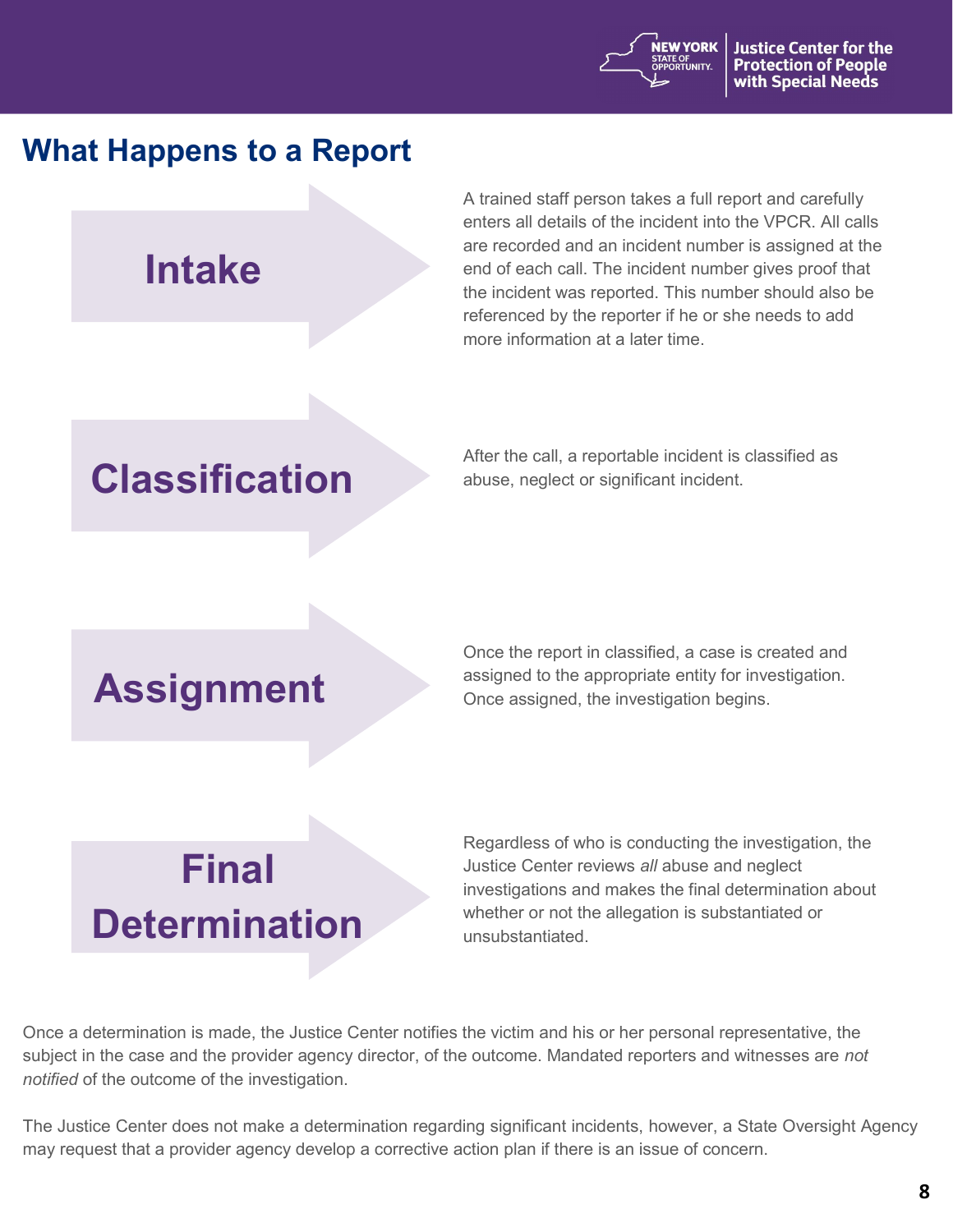

## **What Happens to a Report**

**Intake**

A trained staff person takes a full report and carefully enters all details of the incident into the VPCR. All calls are recorded and an incident number is assigned at the end of each call. The incident number gives proof that the incident was reported. This number should also be referenced by the reporter if he or she needs to add more information at a later time.

## **Classification**

After the call, a reportable incident is classified as abuse, neglect or significant incident.

## **Assignment**

Once the report in classified, a case is created and assigned to the appropriate entity for investigation. Once assigned, the investigation begins.

# **Final Determination**

Regardless of who is conducting the investigation, the Justice Center reviews *all* abuse and neglect investigations and makes the final determination about whether or not the allegation is substantiated or unsubstantiated.

Once a determination is made, the Justice Center notifies the victim and his or her personal representative, the subject in the case and the provider agency director, of the outcome. Mandated reporters and witnesses are *not notified* of the outcome of the investigation.

The Justice Center does not make a determination regarding significant incidents, however, a State Oversight Agency may request that a provider agency develop a corrective action plan if there is an issue of concern.